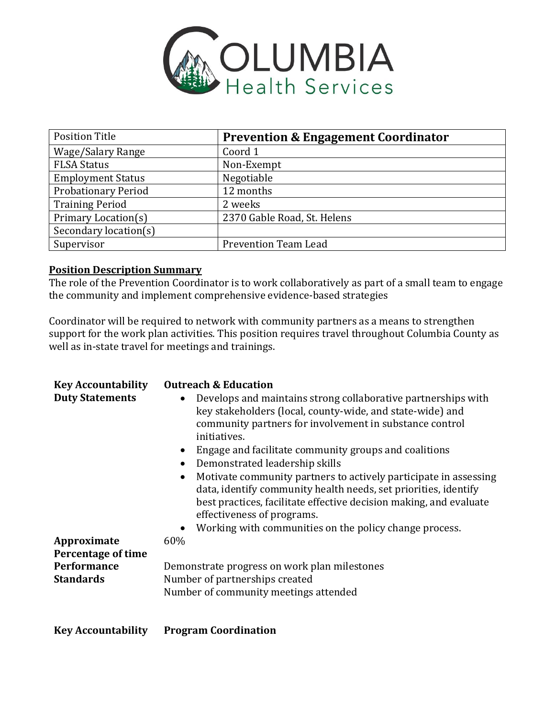

| <b>Position Title</b>      | <b>Prevention &amp; Engagement Coordinator</b> |
|----------------------------|------------------------------------------------|
| Wage/Salary Range          | Coord 1                                        |
| <b>FLSA Status</b>         | Non-Exempt                                     |
| <b>Employment Status</b>   | Negotiable                                     |
| <b>Probationary Period</b> | 12 months                                      |
| <b>Training Period</b>     | 2 weeks                                        |
| Primary Location(s)        | 2370 Gable Road, St. Helens                    |
| Secondary location(s)      |                                                |
| Supervisor                 | <b>Prevention Team Lead</b>                    |

## **Position Description Summary**

The role of the Prevention Coordinator is to work collaboratively as part of a small team to engage the community and implement comprehensive evidence-based strategies

Coordinator will be required to network with community partners as a means to strengthen support for the work plan activities. This position requires travel throughout Columbia County as well as in-state travel for meetings and trainings.

| <b>Key Accountability</b><br><b>Duty Statements</b><br>Approximate | <b>Outreach &amp; Education</b><br>Develops and maintains strong collaborative partnerships with<br>$\bullet$<br>key stakeholders (local, county-wide, and state-wide) and<br>community partners for involvement in substance control<br>initiatives.<br>Engage and facilitate community groups and coalitions<br>Demonstrated leadership skills<br>Motivate community partners to actively participate in assessing<br>$\bullet$<br>data, identify community health needs, set priorities, identify<br>best practices, facilitate effective decision making, and evaluate<br>effectiveness of programs.<br>Working with communities on the policy change process.<br>$\bullet$<br>60% |
|--------------------------------------------------------------------|----------------------------------------------------------------------------------------------------------------------------------------------------------------------------------------------------------------------------------------------------------------------------------------------------------------------------------------------------------------------------------------------------------------------------------------------------------------------------------------------------------------------------------------------------------------------------------------------------------------------------------------------------------------------------------------|
| Percentage of time                                                 | Demonstrate progress on work plan milestones                                                                                                                                                                                                                                                                                                                                                                                                                                                                                                                                                                                                                                           |
| Performance                                                        | Number of partnerships created                                                                                                                                                                                                                                                                                                                                                                                                                                                                                                                                                                                                                                                         |
| <b>Standards</b>                                                   | Number of community meetings attended                                                                                                                                                                                                                                                                                                                                                                                                                                                                                                                                                                                                                                                  |

**Key Accountability Program Coordination**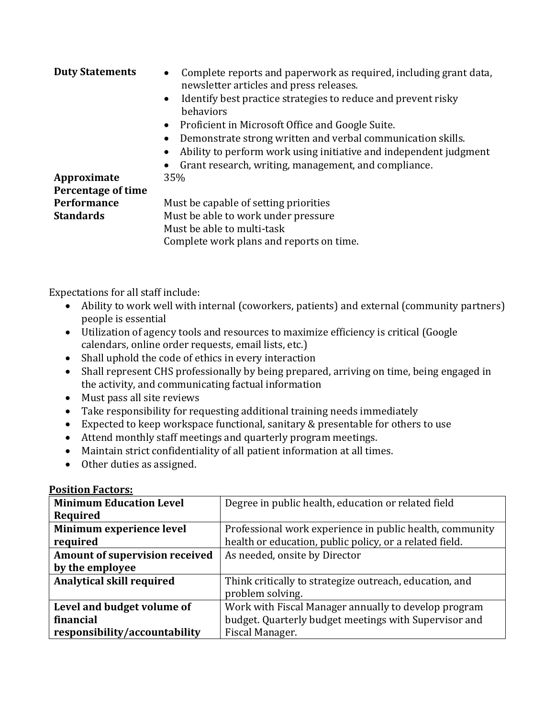| <b>Duty Statements</b> | Complete reports and paperwork as required, including grant data,<br>newsletter articles and press releases. |  |
|------------------------|--------------------------------------------------------------------------------------------------------------|--|
|                        | Identify best practice strategies to reduce and prevent risky<br>behaviors                                   |  |
|                        | • Proficient in Microsoft Office and Google Suite.                                                           |  |
|                        | Demonstrate strong written and verbal communication skills.                                                  |  |
|                        | Ability to perform work using initiative and independent judgment                                            |  |
|                        | Grant research, writing, management, and compliance.                                                         |  |
| Approximate            | 35%                                                                                                          |  |
| Percentage of time     |                                                                                                              |  |
| Performance            | Must be capable of setting priorities                                                                        |  |
| <b>Standards</b>       | Must be able to work under pressure                                                                          |  |
|                        | Must be able to multi-task                                                                                   |  |
|                        | Complete work plans and reports on time.                                                                     |  |

Expectations for all staff include:

- Ability to work well with internal (coworkers, patients) and external (community partners) people is essential
- Utilization of agency tools and resources to maximize efficiency is critical (Google calendars, online order requests, email lists, etc.)
- Shall uphold the code of ethics in every interaction
- Shall represent CHS professionally by being prepared, arriving on time, being engaged in the activity, and communicating factual information
- Must pass all site reviews
- Take responsibility for requesting additional training needs immediately
- Expected to keep workspace functional, sanitary & presentable for others to use
- Attend monthly staff meetings and quarterly program meetings.
- Maintain strict confidentiality of all patient information at all times.
- Other duties as assigned.

| <b>Minimum Education Level</b>   | Degree in public health, education or related field      |
|----------------------------------|----------------------------------------------------------|
| Required                         |                                                          |
| Minimum experience level         | Professional work experience in public health, community |
| required                         | health or education, public policy, or a related field.  |
| Amount of supervision received   | As needed, onsite by Director                            |
| by the employee                  |                                                          |
| <b>Analytical skill required</b> | Think critically to strategize outreach, education, and  |
|                                  | problem solving.                                         |
| Level and budget volume of       | Work with Fiscal Manager annually to develop program     |
| financial                        | budget. Quarterly budget meetings with Supervisor and    |
| responsibility/accountability    | Fiscal Manager.                                          |